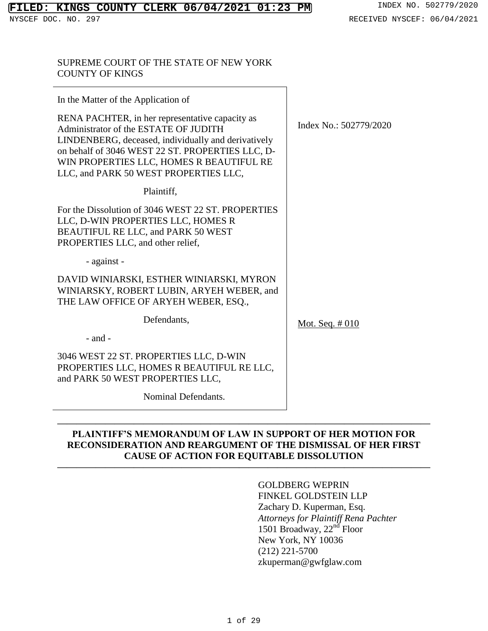## SUPREME COURT OF THE STATE OF NEW YORK COUNTY OF KINGS

| In the Matter of the Application of                                                                                                                                                                                                                                                      |                        |
|------------------------------------------------------------------------------------------------------------------------------------------------------------------------------------------------------------------------------------------------------------------------------------------|------------------------|
| RENA PACHTER, in her representative capacity as<br>Administrator of the ESTATE OF JUDITH<br>LINDENBERG, deceased, individually and derivatively<br>on behalf of 3046 WEST 22 ST. PROPERTIES LLC, D-<br>WIN PROPERTIES LLC, HOMES R BEAUTIFUL RE<br>LLC, and PARK 50 WEST PROPERTIES LLC, | Index No.: 502779/2020 |
| Plaintiff,                                                                                                                                                                                                                                                                               |                        |
| For the Dissolution of 3046 WEST 22 ST. PROPERTIES<br>LLC, D-WIN PROPERTIES LLC, HOMES R<br>BEAUTIFUL RE LLC, and PARK 50 WEST<br>PROPERTIES LLC, and other relief,                                                                                                                      |                        |
| - against -                                                                                                                                                                                                                                                                              |                        |
| DAVID WINIARSKI, ESTHER WINIARSKI, MYRON<br>WINIARSKY, ROBERT LUBIN, ARYEH WEBER, and<br>THE LAW OFFICE OF ARYEH WEBER, ESQ.,                                                                                                                                                            |                        |
| Defendants,                                                                                                                                                                                                                                                                              | Mot. Seq. $\#010$      |
| $-$ and $-$                                                                                                                                                                                                                                                                              |                        |
| 3046 WEST 22 ST. PROPERTIES LLC, D-WIN<br>PROPERTIES LLC, HOMES R BEAUTIFUL RE LLC,<br>and PARK 50 WEST PROPERTIES LLC,                                                                                                                                                                  |                        |
| Nominal Defendants.                                                                                                                                                                                                                                                                      |                        |

## **PLAINTIFF'S MEMORANDUM OF LAW IN SUPPORT OF HER MOTION FOR RECONSIDERATION AND REARGUMENT OF THE DISMISSAL OF HER FIRST CAUSE OF ACTION FOR EQUITABLE DISSOLUTION**

**———————————————————————————————————————**

**———————————————————————————————————————**

# GOLDBERG WEPRIN

FINKEL GOLDSTEIN LLP Zachary D. Kuperman, Esq. *Attorneys for Plaintiff Rena Pachter* 1501 Broadway, 22<sup>nd</sup> Floor New York, NY 10036 (212) 221-5700 zkuperman@gwfglaw.com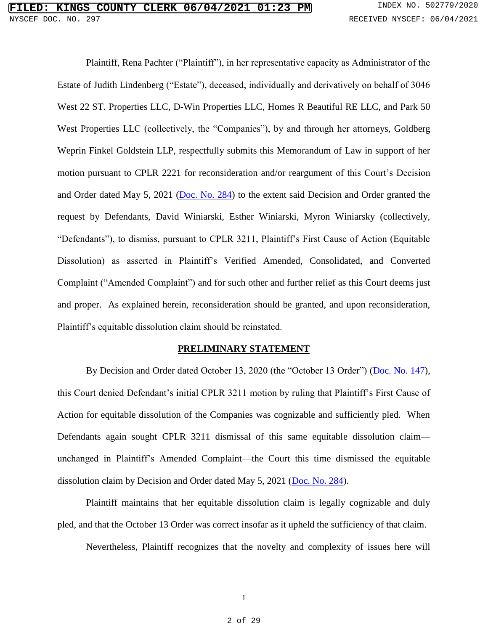Plaintiff, Rena Pachter ("Plaintiff"), in her representative capacity as Administrator of the Estate of Judith Lindenberg ("Estate"), deceased, individually and derivatively on behalf of 3046 West 22 ST. Properties LLC, D-Win Properties LLC, Homes R Beautiful RE LLC, and Park 50 West Properties LLC (collectively, the "Companies"), by and through her attorneys, Goldberg Weprin Finkel Goldstein LLP, respectfully submits this Memorandum of Law in support of her motion pursuant to CPLR 2221 for reconsideration and/or reargument of this Court's Decision and Order dated May 5, 2021 [\(Doc. No. 284\)](https://iapps.courts.state.ny.us/nyscef/ViewDocument?docIndex=3pxsoEgaOA16qbvxtsPHwA==) to the extent said Decision and Order granted the request by Defendants, David Winiarski, Esther Winiarski, Myron Winiarsky (collectively, "Defendants"), to dismiss, pursuant to CPLR 3211, Plaintiff's First Cause of Action (Equitable Dissolution) as asserted in Plaintiff's Verified Amended, Consolidated, and Converted Complaint ("Amended Complaint") and for such other and further relief as this Court deems just and proper. As explained herein, reconsideration should be granted, and upon reconsideration, Plaintiff's equitable dissolution claim should be reinstated.

#### **PRELIMINARY STATEMENT**

By Decision and Order dated October 13, 2020 (the "October 13 Order") [\(Doc. No. 147\)](https://iapps.courts.state.ny.us/nyscef/ViewDocument?docIndex=t/JkNz1skqXwfS8Mufu0SQ==), this Court denied Defendant's initial CPLR 3211 motion by ruling that Plaintiff's First Cause of Action for equitable dissolution of the Companies was cognizable and sufficiently pled. When Defendants again sought CPLR 3211 dismissal of this same equitable dissolution claim unchanged in Plaintiff's Amended Complaint—the Court this time dismissed the equitable dissolution claim by Decision and Order dated May 5, 2021 [\(Doc. No. 284\)](https://iapps.courts.state.ny.us/nyscef/ViewDocument?docIndex=3pxsoEgaOA16qbvxtsPHwA==).

Plaintiff maintains that her equitable dissolution claim is legally cognizable and duly pled, and that the October 13 Order was correct insofar as it upheld the sufficiency of that claim.

Nevertheless, Plaintiff recognizes that the novelty and complexity of issues here will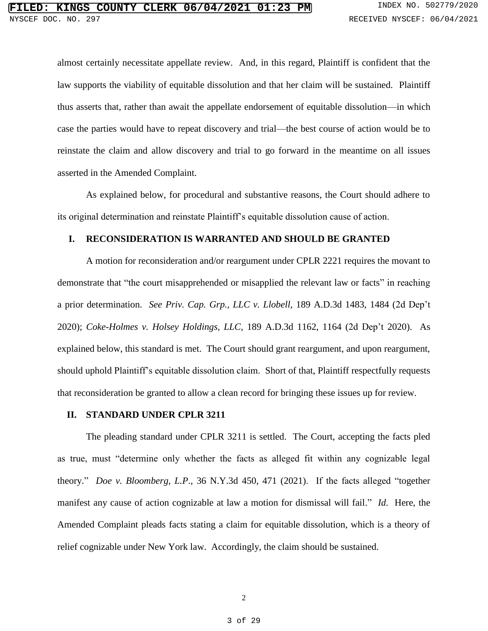almost certainly necessitate appellate review. And, in this regard, Plaintiff is confident that the law supports the viability of equitable dissolution and that her claim will be sustained. Plaintiff thus asserts that, rather than await the appellate endorsement of equitable dissolution—in which case the parties would have to repeat discovery and trial—the best course of action would be to reinstate the claim and allow discovery and trial to go forward in the meantime on all issues asserted in the Amended Complaint.

As explained below, for procedural and substantive reasons, the Court should adhere to its original determination and reinstate Plaintiff's equitable dissolution cause of action.

#### **I. RECONSIDERATION IS WARRANTED AND SHOULD BE GRANTED**

A motion for reconsideration and/or reargument under CPLR 2221 requires the movant to demonstrate that "the court misapprehended or misapplied the relevant law or facts" in reaching a prior determination. *See Priv. Cap. Grp., LLC v. Llobell,* 189 A.D.3d 1483, 1484 (2d Dep't 2020); *Coke-Holmes v. Holsey Holdings, LLC,* 189 A.D.3d 1162, 1164 (2d Dep't 2020). As explained below, this standard is met. The Court should grant reargument, and upon reargument, should uphold Plaintiff's equitable dissolution claim. Short of that, Plaintiff respectfully requests that reconsideration be granted to allow a clean record for bringing these issues up for review.

#### **II. STANDARD UNDER CPLR 3211**

The pleading standard under CPLR 3211 is settled. The Court, accepting the facts pled as true, must "determine only whether the facts as alleged fit within any cognizable legal theory." *Doe v. Bloomberg, L.P*., 36 N.Y.3d 450, 471 (2021). If the facts alleged "together manifest any cause of action cognizable at law a motion for dismissal will fail." *Id*. Here, the Amended Complaint pleads facts stating a claim for equitable dissolution, which is a theory of relief cognizable under New York law. Accordingly, the claim should be sustained.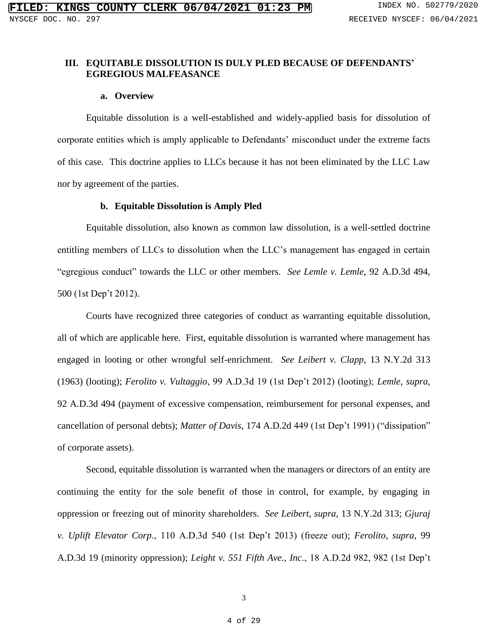## **III. EQUITABLE DISSOLUTION IS DULY PLED BECAUSE OF DEFENDANTS' EGREGIOUS MALFEASANCE**

#### **a. Overview**

Equitable dissolution is a well-established and widely-applied basis for dissolution of corporate entities which is amply applicable to Defendants' misconduct under the extreme facts of this case. This doctrine applies to LLCs because it has not been eliminated by the LLC Law nor by agreement of the parties.

### **b. Equitable Dissolution is Amply Pled**

Equitable dissolution, also known as common law dissolution, is a well-settled doctrine entitling members of LLCs to dissolution when the LLC's management has engaged in certain "egregious conduct" towards the LLC or other members. *See Lemle v. Lemle*, 92 A.D.3d 494, 500 (1st Dep't 2012).

Courts have recognized three categories of conduct as warranting equitable dissolution, all of which are applicable here. First, equitable dissolution is warranted where management has engaged in looting or other wrongful self-enrichment. *See Leibert v. Clapp*, 13 N.Y.2d 313 (1963) (looting); *Ferolito v. Vultaggio*, 99 A.D.3d 19 (1st Dep't 2012) (looting); *Lemle*, *supra*, 92 A.D.3d 494 (payment of excessive compensation, reimbursement for personal expenses, and cancellation of personal debts); *Matter of Davis*, 174 A.D.2d 449 (1st Dep't 1991) ("dissipation" of corporate assets).

Second, equitable dissolution is warranted when the managers or directors of an entity are continuing the entity for the sole benefit of those in control, for example, by engaging in oppression or freezing out of minority shareholders. *See Leibert*, *supra*, 13 N.Y.2d 313; *Gjuraj v. Uplift Elevator Corp*., 110 A.D.3d 540 (1st Dep't 2013) (freeze out); *Ferolito*, *supra*, 99 A.D.3d 19 (minority oppression); *Leight v. 551 Fifth Ave., Inc*., 18 A.D.2d 982, 982 (1st Dep't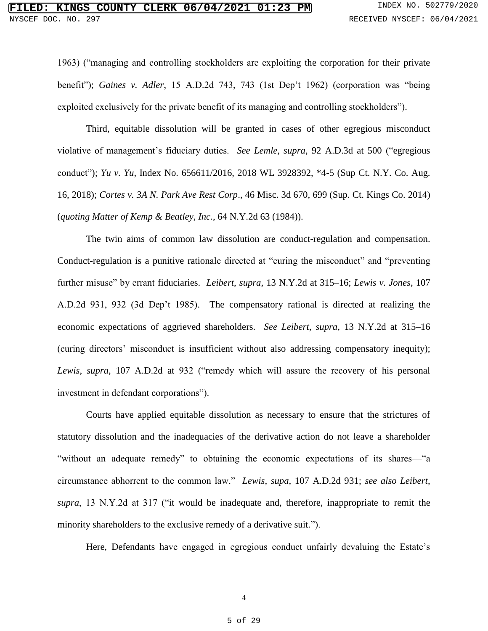1963) ("managing and controlling stockholders are exploiting the corporation for their private benefit"); *Gaines v. Adler*, 15 A.D.2d 743, 743 (1st Dep't 1962) (corporation was "being exploited exclusively for the private benefit of its managing and controlling stockholders").

Third, equitable dissolution will be granted in cases of other egregious misconduct violative of management's fiduciary duties. *See Lemle*, *supra*, 92 A.D.3d at 500 ("egregious conduct"); *Yu v. Yu*, Index No. 656611/2016, 2018 WL 3928392, \*4-5 (Sup Ct. N.Y. Co. Aug. 16, 2018); *Cortes v. 3A N. Park Ave Rest Corp*., 46 Misc. 3d 670, 699 (Sup. Ct. Kings Co. 2014) (*quoting Matter of Kemp & Beatley, Inc.*, 64 N.Y.2d 63 (1984)).

The twin aims of common law dissolution are conduct-regulation and compensation. Conduct-regulation is a punitive rationale directed at "curing the misconduct" and "preventing further misuse" by errant fiduciaries. *Leibert*, *supra*, 13 N.Y.2d at 315–16; *Lewis v. Jones*, 107 A.D.2d 931, 932 (3d Dep't 1985). The compensatory rational is directed at realizing the economic expectations of aggrieved shareholders. *See Leibert*, *supra*, 13 N.Y.2d at 315–16 (curing directors' misconduct is insufficient without also addressing compensatory inequity); Lewis, supra, 107 A.D.2d at 932 ("remedy which will assure the recovery of his personal investment in defendant corporations").

Courts have applied equitable dissolution as necessary to ensure that the strictures of statutory dissolution and the inadequacies of the derivative action do not leave a shareholder "without an adequate remedy" to obtaining the economic expectations of its shares—"a circumstance abhorrent to the common law." *Lewis*, *supa*, 107 A.D.2d 931; *see also Leibert*, *supra*, 13 N.Y.2d at 317 ("it would be inadequate and, therefore, inappropriate to remit the minority shareholders to the exclusive remedy of a derivative suit.").

Here, Defendants have engaged in egregious conduct unfairly devaluing the Estate's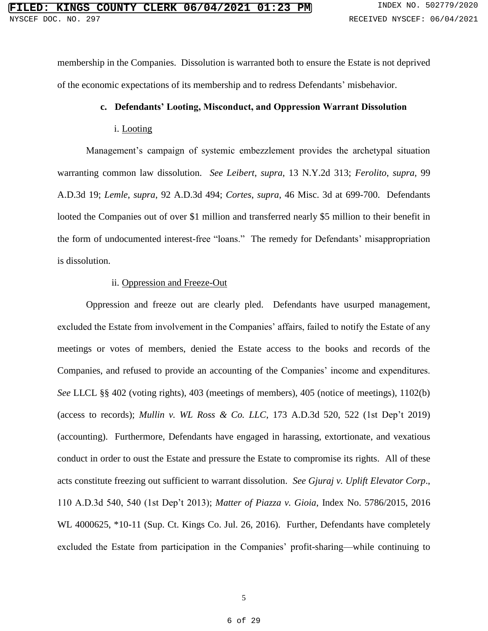membership in the Companies. Dissolution is warranted both to ensure the Estate is not deprived of the economic expectations of its membership and to redress Defendants' misbehavior.

## **c. Defendants' Looting, Misconduct, and Oppression Warrant Dissolution**

#### i. Looting

Management's campaign of systemic embezzlement provides the archetypal situation warranting common law dissolution. *See Leibert*, *supra*, 13 N.Y.2d 313; *Ferolito*, *supra*, 99 A.D.3d 19; *Lemle*, *supra*, 92 A.D.3d 494; *Cortes*, *supra*, 46 Misc. 3d at 699-700. Defendants looted the Companies out of over \$1 million and transferred nearly \$5 million to their benefit in the form of undocumented interest-free "loans." The remedy for Defendants' misappropriation is dissolution.

## ii. Oppression and Freeze-Out

Oppression and freeze out are clearly pled. Defendants have usurped management, excluded the Estate from involvement in the Companies' affairs, failed to notify the Estate of any meetings or votes of members, denied the Estate access to the books and records of the Companies, and refused to provide an accounting of the Companies' income and expenditures. *See* LLCL §§ 402 (voting rights), 403 (meetings of members), 405 (notice of meetings), 1102(b) (access to records); *Mullin v. WL Ross & Co. LLC*, 173 A.D.3d 520, 522 (1st Dep't 2019) (accounting). Furthermore, Defendants have engaged in harassing, extortionate, and vexatious conduct in order to oust the Estate and pressure the Estate to compromise its rights. All of these acts constitute freezing out sufficient to warrant dissolution. *See Gjuraj v. Uplift Elevator Corp*., 110 A.D.3d 540, 540 (1st Dep't 2013); *Matter of Piazza v. Gioia*, Index No. 5786/2015, 2016 WL 4000625, \*10-11 (Sup. Ct. Kings Co. Jul. 26, 2016). Further, Defendants have completely excluded the Estate from participation in the Companies' profit-sharing—while continuing to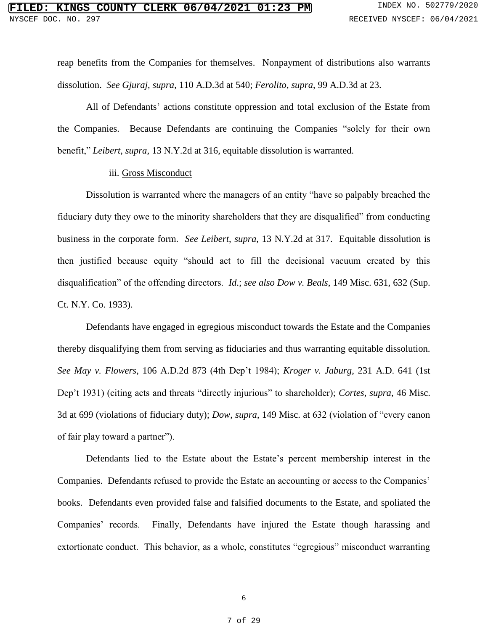reap benefits from the Companies for themselves. Nonpayment of distributions also warrants dissolution. *See Gjuraj*, *supra*, 110 A.D.3d at 540; *Ferolito*, *supra*, 99 A.D.3d at 23.

All of Defendants' actions constitute oppression and total exclusion of the Estate from the Companies. Because Defendants are continuing the Companies "solely for their own benefit," *Leibert*, *supra*, 13 N.Y.2d at 316, equitable dissolution is warranted.

#### iii. Gross Misconduct

Dissolution is warranted where the managers of an entity "have so palpably breached the fiduciary duty they owe to the minority shareholders that they are disqualified" from conducting business in the corporate form. *See Leibert*, *supra*, 13 N.Y.2d at 317. Equitable dissolution is then justified because equity "should act to fill the decisional vacuum created by this disqualification" of the offending directors. *Id*.; *see also Dow v. Beals*, 149 Misc. 631, 632 (Sup. Ct. N.Y. Co. 1933).

Defendants have engaged in egregious misconduct towards the Estate and the Companies thereby disqualifying them from serving as fiduciaries and thus warranting equitable dissolution. *See May v. Flowers*, 106 A.D.2d 873 (4th Dep't 1984); *Kroger v. Jaburg*, 231 A.D. 641 (1st Dep't 1931) (citing acts and threats "directly injurious" to shareholder); *Cortes*, *supra*, 46 Misc. 3d at 699 (violations of fiduciary duty); *Dow*, *supra*, 149 Misc. at 632 (violation of "every canon of fair play toward a partner").

Defendants lied to the Estate about the Estate's percent membership interest in the Companies. Defendants refused to provide the Estate an accounting or access to the Companies' books. Defendants even provided false and falsified documents to the Estate, and spoliated the Companies' records. Finally, Defendants have injured the Estate though harassing and extortionate conduct. This behavior, as a whole, constitutes "egregious" misconduct warranting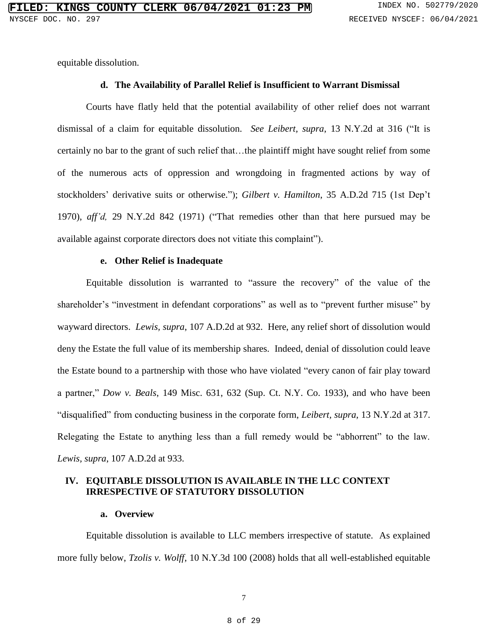equitable dissolution.

## **d. The Availability of Parallel Relief is Insufficient to Warrant Dismissal**

Courts have flatly held that the potential availability of other relief does not warrant dismissal of a claim for equitable dissolution. *See Leibert, supra*, 13 N.Y.2d at 316 ("It is certainly no bar to the grant of such relief that…the plaintiff might have sought relief from some of the numerous acts of oppression and wrongdoing in fragmented actions by way of stockholders' derivative suits or otherwise."); *Gilbert v. Hamilton*, 35 A.D.2d 715 (1st Dep't 1970), *aff'd,* 29 N.Y.2d 842 (1971) ("That remedies other than that here pursued may be available against corporate directors does not vitiate this complaint").

### **e. Other Relief is Inadequate**

Equitable dissolution is warranted to "assure the recovery" of the value of the shareholder's "investment in defendant corporations" as well as to "prevent further misuse" by wayward directors. *Lewis, supra*, 107 A.D.2d at 932. Here, any relief short of dissolution would deny the Estate the full value of its membership shares. Indeed, denial of dissolution could leave the Estate bound to a partnership with those who have violated "every canon of fair play toward a partner," *Dow v. Beals*, 149 Misc. 631, 632 (Sup. Ct. N.Y. Co. 1933), and who have been "disqualified" from conducting business in the corporate form, *Leibert, supra*, 13 N.Y.2d at 317. Relegating the Estate to anything less than a full remedy would be "abhorrent" to the law. *Lewis, supra*, 107 A.D.2d at 933.

## **IV. EQUITABLE DISSOLUTION IS AVAILABLE IN THE LLC CONTEXT IRRESPECTIVE OF STATUTORY DISSOLUTION**

#### **a. Overview**

Equitable dissolution is available to LLC members irrespective of statute. As explained more fully below, *Tzolis v. Wolff*, 10 N.Y.3d 100 (2008) holds that all well-established equitable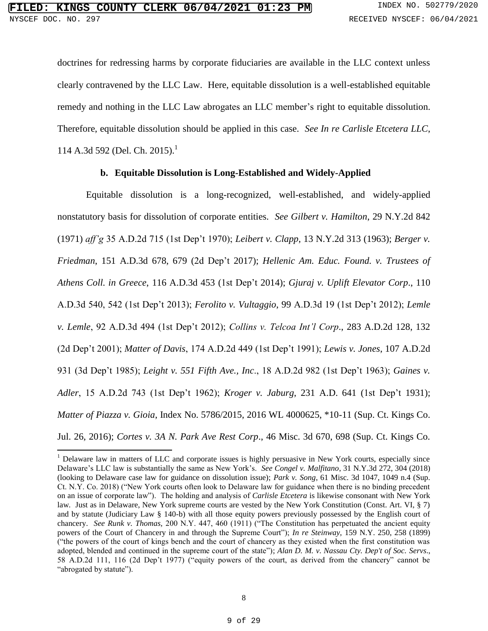$\overline{\phantom{a}}$ 

doctrines for redressing harms by corporate fiduciaries are available in the LLC context unless clearly contravened by the LLC Law. Here, equitable dissolution is a well-established equitable remedy and nothing in the LLC Law abrogates an LLC member's right to equitable dissolution. Therefore, equitable dissolution should be applied in this case. *See In re Carlisle Etcetera LLC*, 114 A.3d 592 (Del. Ch. 2015).<sup>1</sup>

## **b. Equitable Dissolution is Long-Established and Widely-Applied**

Equitable dissolution is a long-recognized, well-established, and widely-applied nonstatutory basis for dissolution of corporate entities. *See Gilbert v. Hamilton*, 29 N.Y.2d 842 (1971) *aff'g* 35 A.D.2d 715 (1st Dep't 1970); *Leibert v. Clapp*, 13 N.Y.2d 313 (1963); *Berger v. Friedman*, 151 A.D.3d 678, 679 (2d Dep't 2017); *Hellenic Am. Educ. Found. v. Trustees of Athens Coll. in Greece*, 116 A.D.3d 453 (1st Dep't 2014); *Gjuraj v. Uplift Elevator Corp*., 110 A.D.3d 540, 542 (1st Dep't 2013); *Ferolito v. Vultaggio*, 99 A.D.3d 19 (1st Dep't 2012); *Lemle v. Lemle*, 92 A.D.3d 494 (1st Dep't 2012); *Collins v. Telcoa Int'l Corp*., 283 A.D.2d 128, 132 (2d Dep't 2001); *Matter of Davis*, 174 A.D.2d 449 (1st Dep't 1991); *Lewis v. Jones*, 107 A.D.2d 931 (3d Dep't 1985); *Leight v. 551 Fifth Ave., Inc*., 18 A.D.2d 982 (1st Dep't 1963); *Gaines v. Adler*, 15 A.D.2d 743 (1st Dep't 1962); *Kroger v. Jaburg*, 231 A.D. 641 (1st Dep't 1931); *Matter of Piazza v. Gioia*, Index No. 5786/2015, 2016 WL 4000625, \*10-11 (Sup. Ct. Kings Co. Jul. 26, 2016); *Cortes v. 3A N. Park Ave Rest Corp*., 46 Misc. 3d 670, 698 (Sup. Ct. Kings Co.

<sup>&</sup>lt;sup>1</sup> Delaware law in matters of LLC and corporate issues is highly persuasive in New York courts, especially since Delaware's LLC law is substantially the same as New York's. *See Congel v. Malfitano*, 31 N.Y.3d 272, 304 (2018) (looking to Delaware case law for guidance on dissolution issue); *Park v. Song*, 61 Misc. 3d 1047, 1049 n.4 (Sup. Ct. N.Y. Co. 2018) ("New York courts often look to Delaware law for guidance when there is no binding precedent on an issue of corporate law"). The holding and analysis of *Carlisle Etcetera* is likewise consonant with New York law. Just as in Delaware, New York supreme courts are vested by the New York Constitution (Const. Art. VI, § 7) and by statute (Judiciary Law § 140-b) with all those equity powers previously possessed by the English court of chancery. *See Runk v. Thomas,* 200 N.Y. 447, 460 (1911) ("The Constitution has perpetuated the ancient equity powers of the Court of Chancery in and through the Supreme Court"); *In re Steinway,* 159 N.Y. 250, 258 (1899) ("the powers of the court of kings bench and the court of chancery as they existed when the first constitution was adopted, blended and continued in the supreme court of the state"); *Alan D. M. v. Nassau Cty. Dep't of Soc. Servs*., 58 A.D.2d 111, 116 (2d Dep't 1977) ("equity powers of the court, as derived from the chancery" cannot be "abrogated by statute").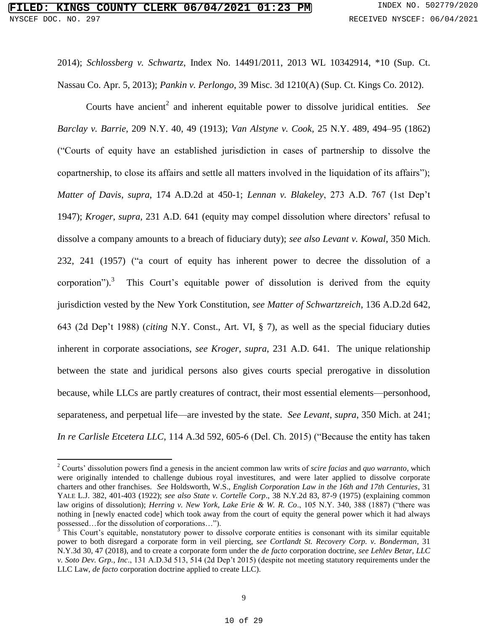$\overline{a}$ 

2014); *Schlossberg v. Schwartz*, Index No. 14491/2011, 2013 WL 10342914, \*10 (Sup. Ct. Nassau Co. Apr. 5, 2013); *Pankin v. Perlongo*, 39 Misc. 3d 1210(A) (Sup. Ct. Kings Co. 2012).

Courts have ancient<sup>2</sup> and inherent equitable power to dissolve juridical entities. See *Barclay v. Barrie*, 209 N.Y. 40, 49 (1913); *Van Alstyne v. Cook*, 25 N.Y. 489, 494–95 (1862) ("Courts of equity have an established jurisdiction in cases of partnership to dissolve the copartnership, to close its affairs and settle all matters involved in the liquidation of its affairs"); *Matter of Davis*, *supra*, 174 A.D.2d at 450-1; *Lennan v. Blakeley*, 273 A.D. 767 (1st Dep't 1947); *Kroger*, *supra*, 231 A.D. 641 (equity may compel dissolution where directors' refusal to dissolve a company amounts to a breach of fiduciary duty); *see also Levant v. Kowal*, 350 Mich. 232, 241 (1957) ("a court of equity has inherent power to decree the dissolution of a corporation"). 3 This Court's equitable power of dissolution is derived from the equity jurisdiction vested by the New York Constitution, *see Matter of Schwartzreich*, 136 A.D.2d 642, 643 (2d Dep't 1988) (*citing* N.Y. Const., Art. VI, § 7), as well as the special fiduciary duties inherent in corporate associations, *see Kroger*, *supra*, 231 A.D. 641. The unique relationship between the state and juridical persons also gives courts special prerogative in dissolution because, while LLCs are partly creatures of contract, their most essential elements—personhood, separateness, and perpetual life—are invested by the state. *See Levant*, *supra*, 350 Mich. at 241; *In re Carlisle Etcetera LLC*, 114 A.3d 592, 605-6 (Del. Ch. 2015) ("Because the entity has taken

<sup>2</sup> Courts' dissolution powers find a genesis in the ancient common law writs of *scire facias* and *quo warranto*, which were originally intended to challenge dubious royal investitures, and were later applied to dissolve corporate charters and other franchises. *See* Holdsworth, W.S., *English Corporation Law in the 16th and 17th Centuries*, 31 YALE L.J. 382, 401-403 (1922); *see also State v. Cortelle Corp*., 38 N.Y.2d 83, 87-9 (1975) (explaining common law origins of dissolution); *Herring v. New York, Lake Erie & W. R. Co*., 105 N.Y. 340, 388 (1887) ("there was nothing in [newly enacted code] which took away from the court of equity the general power which it had always possessed…for the dissolution of corporations…").

<sup>&</sup>lt;sup>3</sup> This Court's equitable, nonstatutory power to dissolve corporate entities is consonant with its similar equitable power to both disregard a corporate form in veil piercing, *see Cortlandt St. Recovery Corp. v. Bonderman*, 31 N.Y.3d 30, 47 (2018), and to create a corporate form under the *de facto* corporation doctrine, *see Lehlev Betar, LLC v. Soto Dev. Grp., Inc*., 131 A.D.3d 513, 514 (2d Dep't 2015) (despite not meeting statutory requirements under the LLC Law, *de facto* corporation doctrine applied to create LLC).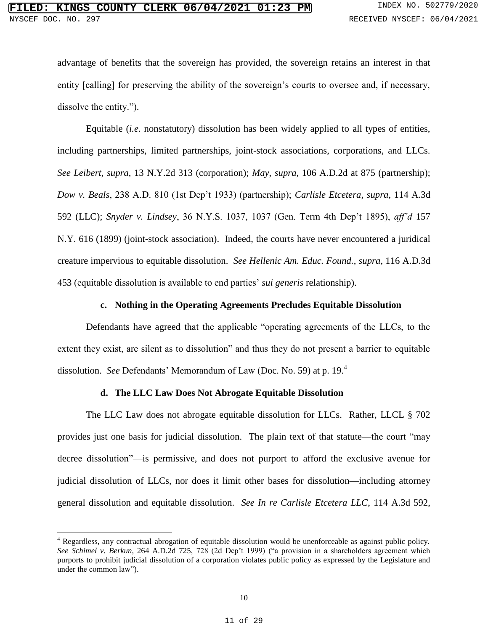advantage of benefits that the sovereign has provided, the sovereign retains an interest in that entity [calling] for preserving the ability of the sovereign's courts to oversee and, if necessary, dissolve the entity.").

Equitable (*i.e*. nonstatutory) dissolution has been widely applied to all types of entities, including partnerships, limited partnerships, joint-stock associations, corporations, and LLCs. *See Leibert*, *supra*, 13 N.Y.2d 313 (corporation); *May*, *supra*, 106 A.D.2d at 875 (partnership); *Dow v. Beals*, 238 A.D. 810 (1st Dep't 1933) (partnership); *Carlisle Etcetera*, *supra*, 114 A.3d 592 (LLC); *Snyder v. Lindsey*, 36 N.Y.S. 1037, 1037 (Gen. Term 4th Dep't 1895), *aff'd* 157 N.Y. 616 (1899) (joint-stock association). Indeed, the courts have never encountered a juridical creature impervious to equitable dissolution. *See Hellenic Am. Educ. Found.*, *supra*, 116 A.D.3d 453 (equitable dissolution is available to end parties' *sui generis* relationship).

#### **c. Nothing in the Operating Agreements Precludes Equitable Dissolution**

Defendants have agreed that the applicable "operating agreements of the LLCs, to the extent they exist, are silent as to dissolution" and thus they do not present a barrier to equitable dissolution. *See* Defendants' Memorandum of Law (Doc. No. 59) at p. 19.<sup>4</sup>

## **d. The LLC Law Does Not Abrogate Equitable Dissolution**

The LLC Law does not abrogate equitable dissolution for LLCs. Rather, LLCL § 702 provides just one basis for judicial dissolution. The plain text of that statute—the court "may decree dissolution"—is permissive, and does not purport to afford the exclusive avenue for judicial dissolution of LLCs, nor does it limit other bases for dissolution—including attorney general dissolution and equitable dissolution. *See In re Carlisle Etcetera LLC*, 114 A.3d 592,

 $\overline{\phantom{a}}$ 

 $4$  Regardless, any contractual abrogation of equitable dissolution would be unenforceable as against public policy. *See Schimel v. Berkun,* 264 A.D.2d 725, 728 (2d Dep't 1999) ("a provision in a shareholders agreement which purports to prohibit judicial dissolution of a corporation violates public policy as expressed by the Legislature and under the common law").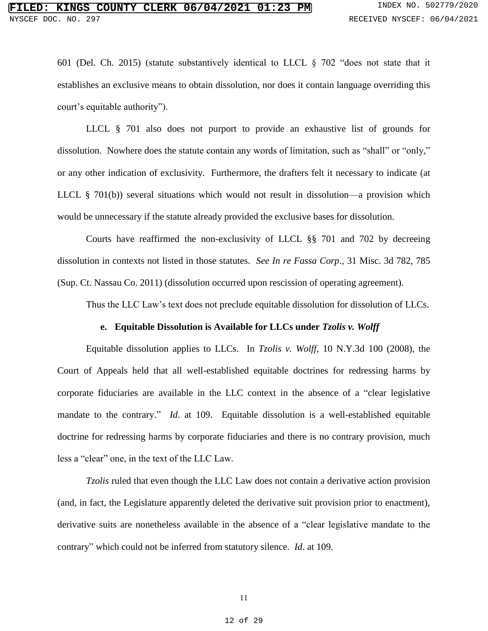601 (Del. Ch. 2015) (statute substantively identical to LLCL § 702 "does not state that it establishes an exclusive means to obtain dissolution, nor does it contain language overriding this court's equitable authority").

LLCL § 701 also does not purport to provide an exhaustive list of grounds for dissolution. Nowhere does the statute contain any words of limitation, such as "shall" or "only," or any other indication of exclusivity. Furthermore, the drafters felt it necessary to indicate (at LLCL § 701(b)) several situations which would not result in dissolution—a provision which would be unnecessary if the statute already provided the exclusive bases for dissolution.

Courts have reaffirmed the non-exclusivity of LLCL §§ 701 and 702 by decreeing dissolution in contexts not listed in those statutes. *See In re Fassa Corp*., 31 Misc. 3d 782, 785 (Sup. Ct. Nassau Co. 2011) (dissolution occurred upon rescission of operating agreement).

Thus the LLC Law's text does not preclude equitable dissolution for dissolution of LLCs.

#### **e. Equitable Dissolution is Available for LLCs under** *Tzolis v. Wolff*

Equitable dissolution applies to LLCs. In *Tzolis v. Wolff*, 10 N.Y.3d 100 (2008), the Court of Appeals held that all well-established equitable doctrines for redressing harms by corporate fiduciaries are available in the LLC context in the absence of a "clear legislative mandate to the contrary." *Id*. at 109. Equitable dissolution is a well-established equitable doctrine for redressing harms by corporate fiduciaries and there is no contrary provision, much less a "clear" one, in the text of the LLC Law.

*Tzolis* ruled that even though the LLC Law does not contain a derivative action provision (and, in fact, the Legislature apparently deleted the derivative suit provision prior to enactment), derivative suits are nonetheless available in the absence of a "clear legislative mandate to the contrary" which could not be inferred from statutory silence. *Id*. at 109.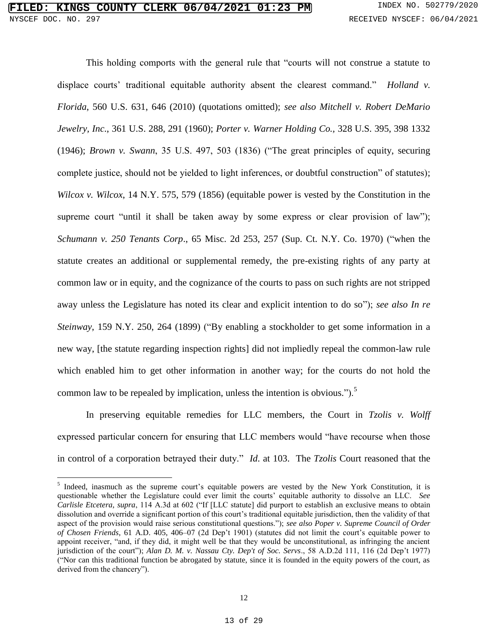$\overline{\phantom{a}}$ 

This holding comports with the general rule that "courts will not construe a statute to displace courts' traditional equitable authority absent the clearest command." *Holland v. Florida*, 560 U.S. 631, 646 (2010) (quotations omitted); *see also Mitchell v. Robert DeMario Jewelry, Inc*., 361 U.S. 288, 291 (1960); *Porter v. Warner Holding Co.,* 328 U.S. 395, 398 1332 (1946); *Brown v. Swann*, 35 U.S. 497, 503 (1836) ("The great principles of equity, securing complete justice, should not be yielded to light inferences, or doubtful construction" of statutes); *Wilcox v. Wilcox*, 14 N.Y. 575, 579 (1856) (equitable power is vested by the Constitution in the supreme court "until it shall be taken away by some express or clear provision of law"); *Schumann v. 250 Tenants Corp*., 65 Misc. 2d 253, 257 (Sup. Ct. N.Y. Co. 1970) ("when the statute creates an additional or supplemental remedy, the pre-existing rights of any party at common law or in equity, and the cognizance of the courts to pass on such rights are not stripped away unless the Legislature has noted its clear and explicit intention to do so"); *see also In re Steinway*, 159 N.Y. 250, 264 (1899) ("By enabling a stockholder to get some information in a new way, [the statute regarding inspection rights] did not impliedly repeal the common-law rule which enabled him to get other information in another way; for the courts do not hold the common law to be repealed by implication, unless the intention is obvious." $\sum_{n=1}^{\infty}$ 

In preserving equitable remedies for LLC members, the Court in *Tzolis v. Wolff* expressed particular concern for ensuring that LLC members would "have recourse when those in control of a corporation betrayed their duty." *Id*. at 103. The *Tzolis* Court reasoned that the

<sup>&</sup>lt;sup>5</sup> Indeed, inasmuch as the supreme court's equitable powers are vested by the New York Constitution, it is questionable whether the Legislature could ever limit the courts' equitable authority to dissolve an LLC. *See Carlisle Etcetera, supra*, 114 A.3d at 602 ("If [LLC statute] did purport to establish an exclusive means to obtain dissolution and override a significant portion of this court's traditional equitable jurisdiction, then the validity of that aspect of the provision would raise serious constitutional questions."); *see also Poper v. Supreme Council of Order of Chosen Friends*, 61 A.D. 405, 406–07 (2d Dep't 1901) (statutes did not limit the court's equitable power to appoint receiver, "and, if they did, it might well be that they would be unconstitutional, as infringing the ancient jurisdiction of the court"); *Alan D. M. v. Nassau Cty. Dep't of Soc. Servs*., 58 A.D.2d 111, 116 (2d Dep't 1977) ("Nor can this traditional function be abrogated by statute, since it is founded in the equity powers of the court, as derived from the chancery").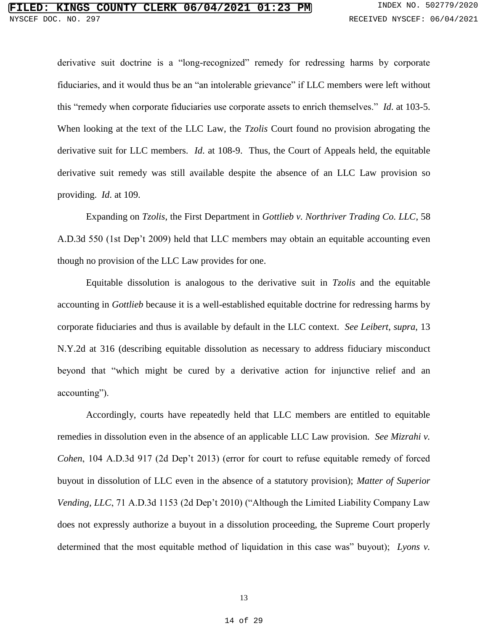derivative suit doctrine is a "long-recognized" remedy for redressing harms by corporate fiduciaries, and it would thus be an "an intolerable grievance" if LLC members were left without this "remedy when corporate fiduciaries use corporate assets to enrich themselves." *Id*. at 103-5. When looking at the text of the LLC Law, the *Tzolis* Court found no provision abrogating the derivative suit for LLC members. *Id*. at 108-9. Thus, the Court of Appeals held, the equitable derivative suit remedy was still available despite the absence of an LLC Law provision so providing. *Id*. at 109.

Expanding on *Tzolis*, the First Department in *Gottlieb v. Northriver Trading Co. LLC*, 58 A.D.3d 550 (1st Dep't 2009) held that LLC members may obtain an equitable accounting even though no provision of the LLC Law provides for one.

Equitable dissolution is analogous to the derivative suit in *Tzolis* and the equitable accounting in *Gottlieb* because it is a well-established equitable doctrine for redressing harms by corporate fiduciaries and thus is available by default in the LLC context. *See Leibert*, *supra*, 13 N.Y.2d at 316 (describing equitable dissolution as necessary to address fiduciary misconduct beyond that "which might be cured by a derivative action for injunctive relief and an accounting").

Accordingly, courts have repeatedly held that LLC members are entitled to equitable remedies in dissolution even in the absence of an applicable LLC Law provision. *See Mizrahi v. Cohen*, 104 A.D.3d 917 (2d Dep't 2013) (error for court to refuse equitable remedy of forced buyout in dissolution of LLC even in the absence of a statutory provision); *Matter of Superior Vending, LLC*, 71 A.D.3d 1153 (2d Dep't 2010) ("Although the Limited Liability Company Law does not expressly authorize a buyout in a dissolution proceeding, the Supreme Court properly determined that the most equitable method of liquidation in this case was" buyout); *Lyons v.*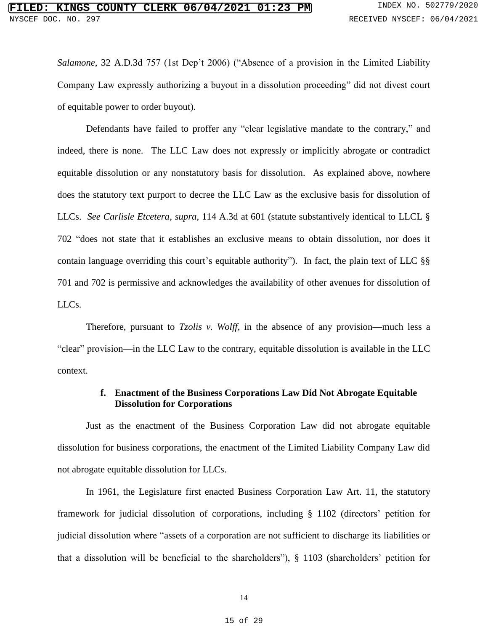*Salamone*, 32 A.D.3d 757 (1st Dep't 2006) ("Absence of a provision in the Limited Liability Company Law expressly authorizing a buyout in a dissolution proceeding" did not divest court of equitable power to order buyout).

Defendants have failed to proffer any "clear legislative mandate to the contrary," and indeed, there is none. The LLC Law does not expressly or implicitly abrogate or contradict equitable dissolution or any nonstatutory basis for dissolution. As explained above, nowhere does the statutory text purport to decree the LLC Law as the exclusive basis for dissolution of LLCs. *See Carlisle Etcetera*, *supra*, 114 A.3d at 601 (statute substantively identical to LLCL § 702 "does not state that it establishes an exclusive means to obtain dissolution, nor does it contain language overriding this court's equitable authority"). In fact, the plain text of LLC §§ 701 and 702 is permissive and acknowledges the availability of other avenues for dissolution of LLCs.

Therefore, pursuant to *Tzolis v. Wolff*, in the absence of any provision—much less a "clear" provision—in the LLC Law to the contrary, equitable dissolution is available in the LLC context.

## **f. Enactment of the Business Corporations Law Did Not Abrogate Equitable Dissolution for Corporations**

Just as the enactment of the Business Corporation Law did not abrogate equitable dissolution for business corporations, the enactment of the Limited Liability Company Law did not abrogate equitable dissolution for LLCs.

In 1961, the Legislature first enacted Business Corporation Law Art. 11, the statutory framework for judicial dissolution of corporations, including § 1102 (directors' petition for judicial dissolution where "assets of a corporation are not sufficient to discharge its liabilities or that a dissolution will be beneficial to the shareholders"), § 1103 (shareholders' petition for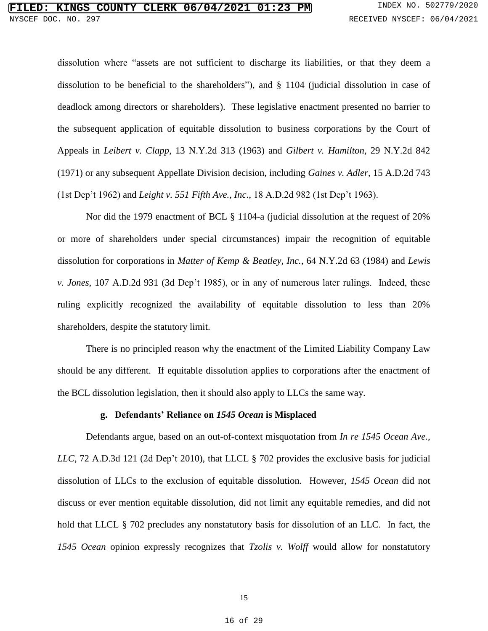dissolution where "assets are not sufficient to discharge its liabilities, or that they deem a dissolution to be beneficial to the shareholders"), and § 1104 (judicial dissolution in case of deadlock among directors or shareholders). These legislative enactment presented no barrier to the subsequent application of equitable dissolution to business corporations by the Court of Appeals in *Leibert v. Clapp*, 13 N.Y.2d 313 (1963) and *Gilbert v. Hamilton*, 29 N.Y.2d 842 (1971) or any subsequent Appellate Division decision, including *Gaines v. Adler*, 15 A.D.2d 743 (1st Dep't 1962) and *Leight v. 551 Fifth Ave., Inc*., 18 A.D.2d 982 (1st Dep't 1963).

Nor did the 1979 enactment of BCL § 1104-a (judicial dissolution at the request of 20% or more of shareholders under special circumstances) impair the recognition of equitable dissolution for corporations in *Matter of Kemp & Beatley, Inc.*, 64 N.Y.2d 63 (1984) and *Lewis v. Jones*, 107 A.D.2d 931 (3d Dep't 1985), or in any of numerous later rulings. Indeed, these ruling explicitly recognized the availability of equitable dissolution to less than 20% shareholders, despite the statutory limit.

There is no principled reason why the enactment of the Limited Liability Company Law should be any different. If equitable dissolution applies to corporations after the enactment of the BCL dissolution legislation, then it should also apply to LLCs the same way.

#### **g. Defendants' Reliance on** *1545 Ocean* **is Misplaced**

Defendants argue, based on an out-of-context misquotation from *In re 1545 Ocean Ave., LLC*, 72 A.D.3d 121 (2d Dep't 2010), that LLCL § 702 provides the exclusive basis for judicial dissolution of LLCs to the exclusion of equitable dissolution. However, *1545 Ocean* did not discuss or ever mention equitable dissolution, did not limit any equitable remedies, and did not hold that LLCL § 702 precludes any nonstatutory basis for dissolution of an LLC. In fact, the *1545 Ocean* opinion expressly recognizes that *Tzolis v. Wolff* would allow for nonstatutory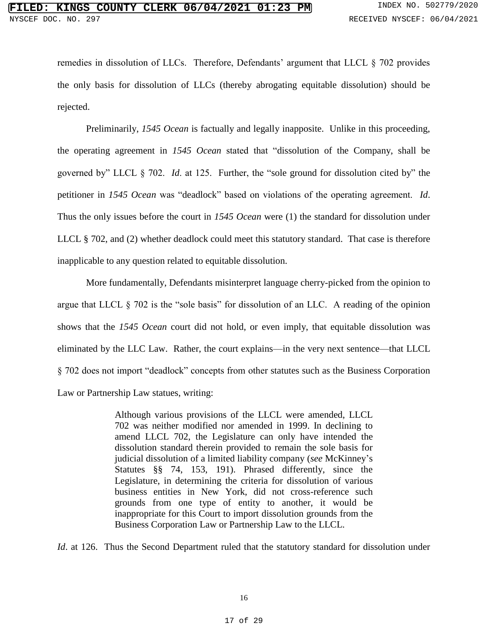remedies in dissolution of LLCs. Therefore, Defendants' argument that LLCL § 702 provides the only basis for dissolution of LLCs (thereby abrogating equitable dissolution) should be rejected.

Preliminarily, *1545 Ocean* is factually and legally inapposite. Unlike in this proceeding, the operating agreement in *1545 Ocean* stated that "dissolution of the Company, shall be governed by" LLCL § 702. *Id*. at 125. Further, the "sole ground for dissolution cited by" the petitioner in *1545 Ocean* was "deadlock" based on violations of the operating agreement. *Id*. Thus the only issues before the court in *1545 Ocean* were (1) the standard for dissolution under LLCL § 702, and (2) whether deadlock could meet this statutory standard. That case is therefore inapplicable to any question related to equitable dissolution.

More fundamentally, Defendants misinterpret language cherry-picked from the opinion to argue that LLCL § 702 is the "sole basis" for dissolution of an LLC. A reading of the opinion shows that the *1545 Ocean* court did not hold, or even imply, that equitable dissolution was eliminated by the LLC Law. Rather, the court explains—in the very next sentence—that LLCL § 702 does not import "deadlock" concepts from other statutes such as the Business Corporation Law or Partnership Law statues, writing:

> Although various provisions of the LLCL were amended, LLCL 702 was neither modified nor amended in 1999. In declining to amend LLCL 702, the Legislature can only have intended the dissolution standard therein provided to remain the sole basis for judicial dissolution of a limited liability company (*see* McKinney's Statutes §§ 74, 153, 191). Phrased differently, since the Legislature, in determining the criteria for dissolution of various business entities in New York, did not cross-reference such grounds from one type of entity to another, it would be inappropriate for this Court to import dissolution grounds from the Business Corporation Law or Partnership Law to the LLCL.

*Id.* at 126. Thus the Second Department ruled that the statutory standard for dissolution under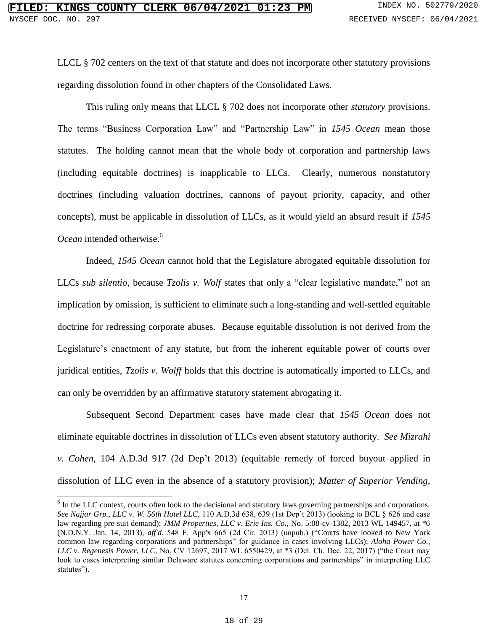LLCL § 702 centers on the text of that statute and does not incorporate other statutory provisions regarding dissolution found in other chapters of the Consolidated Laws.

This ruling only means that LLCL § 702 does not incorporate other *statutory* provisions. The terms "Business Corporation Law" and "Partnership Law" in *1545 Ocean* mean those statutes. The holding cannot mean that the whole body of corporation and partnership laws (including equitable doctrines) is inapplicable to LLCs. Clearly, numerous nonstatutory doctrines (including valuation doctrines, cannons of payout priority, capacity, and other concepts), must be applicable in dissolution of LLCs, as it would yield an absurd result if *1545 Ocean* intended otherwise.<sup>6</sup>

Indeed, *1545 Ocean* cannot hold that the Legislature abrogated equitable dissolution for LLCs *sub silentio*, because *Tzolis v. Wolf* states that only a "clear legislative mandate," not an implication by omission, is sufficient to eliminate such a long-standing and well-settled equitable doctrine for redressing corporate abuses. Because equitable dissolution is not derived from the Legislature's enactment of any statute, but from the inherent equitable power of courts over juridical entities, *Tzolis v. Wolff* holds that this doctrine is automatically imported to LLCs, and can only be overridden by an affirmative statutory statement abrogating it.

Subsequent Second Department cases have made clear that *1545 Ocean* does not eliminate equitable doctrines in dissolution of LLCs even absent statutory authority. *See Mizrahi v. Cohen*, 104 A.D.3d 917 (2d Dep't 2013) (equitable remedy of forced buyout applied in dissolution of LLC even in the absence of a statutory provision); *Matter of Superior Vending,* 

 $\overline{a}$ 

<sup>&</sup>lt;sup>6</sup> In the LLC context, courts often look to the decisional and statutory laws governing partnerships and corporations. *See Najjar Grp., LLC v. W. 56th Hotel LLC*, 110 A.D.3d 638, 639 (1st Dep't 2013) (looking to BCL § 626 and case law regarding pre-suit demand); *JMM Properties, LLC v. Erie Ins. Co*., No. 5:08-cv-1382, 2013 WL 149457, at \*6 (N.D.N.Y. Jan. 14, 2013), *aff'd*, 548 F. App'x 665 (2d Cir. 2013) (unpub.) ("Courts have looked to New York common law regarding corporations and partnerships" for guidance in cases involving LLCs); *Aloha Power Co., LLC v. Regenesis Power, LLC*, No. CV 12697, 2017 WL 6550429, at \*3 (Del. Ch. Dec. 22, 2017) ("the Court may look to cases interpreting similar Delaware statutes concerning corporations and partnerships" in interpreting LLC statutes").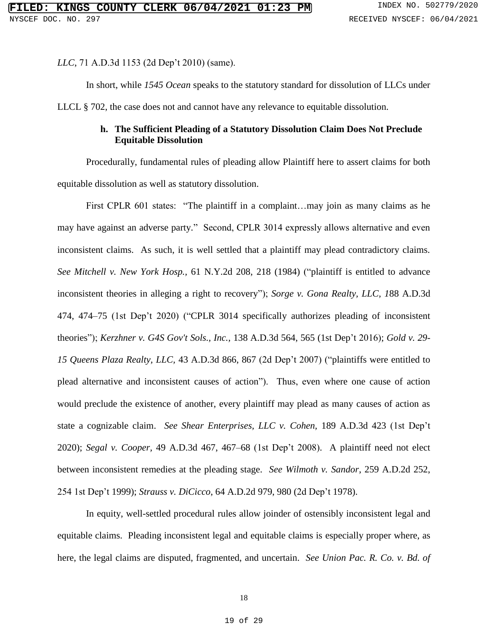*LLC*, 71 A.D.3d 1153 (2d Dep't 2010) (same).

In short, while *1545 Ocean* speaks to the statutory standard for dissolution of LLCs under LLCL § 702, the case does not and cannot have any relevance to equitable dissolution.

## **h. The Sufficient Pleading of a Statutory Dissolution Claim Does Not Preclude Equitable Dissolution**

Procedurally, fundamental rules of pleading allow Plaintiff here to assert claims for both equitable dissolution as well as statutory dissolution.

First CPLR 601 states: "The plaintiff in a complaint...may join as many claims as he may have against an adverse party." Second, CPLR 3014 expressly allows alternative and even inconsistent claims. As such, it is well settled that a plaintiff may plead contradictory claims. *See Mitchell v. New York Hosp.,* 61 N.Y.2d 208, 218 (1984) ("plaintiff is entitled to advance inconsistent theories in alleging a right to recovery"); *Sorge v. Gona Realty, LLC, 1*88 A.D.3d 474, 474–75 (1st Dep't 2020) ("CPLR 3014 specifically authorizes pleading of inconsistent theories"); *Kerzhner v. G4S Gov't Sols., Inc.,* 138 A.D.3d 564, 565 (1st Dep't 2016); *Gold v. 29- 15 Queens Plaza Realty, LLC,* 43 A.D.3d 866, 867 (2d Dep't 2007) ("plaintiffs were entitled to plead alternative and inconsistent causes of action"). Thus, even where one cause of action would preclude the existence of another, every plaintiff may plead as many causes of action as state a cognizable claim. *See Shear Enterprises, LLC v. Cohen,* 189 A.D.3d 423 (1st Dep't 2020); *Segal v. Cooper,* 49 A.D.3d 467, 467–68 (1st Dep't 2008). A plaintiff need not elect between inconsistent remedies at the pleading stage. *See Wilmoth v. Sandor*, 259 A.D.2d 252, 254 1st Dep't 1999); *Strauss v. DiCicco*, 64 A.D.2d 979, 980 (2d Dep't 1978).

In equity, well-settled procedural rules allow joinder of ostensibly inconsistent legal and equitable claims. Pleading inconsistent legal and equitable claims is especially proper where, as here, the legal claims are disputed, fragmented, and uncertain. *See Union Pac. R. Co. v. Bd. of*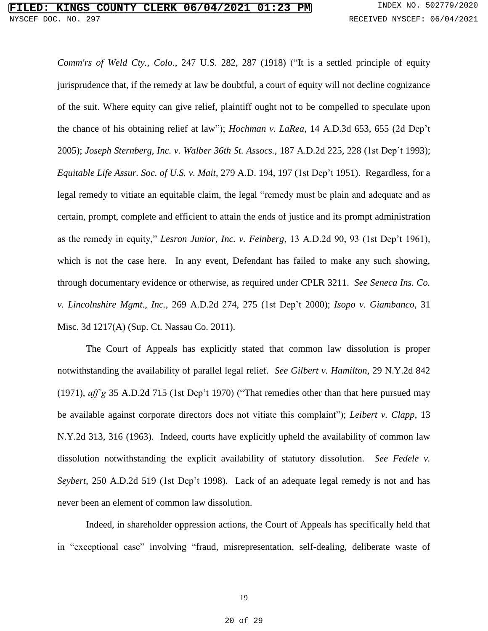*Comm'rs of Weld Cty., Colo.*, 247 U.S. 282, 287 (1918) ("It is a settled principle of equity jurisprudence that, if the remedy at law be doubtful, a court of equity will not decline cognizance of the suit. Where equity can give relief, plaintiff ought not to be compelled to speculate upon the chance of his obtaining relief at law"); *Hochman v. LaRea*, 14 A.D.3d 653, 655 (2d Dep't 2005); *Joseph Sternberg, Inc. v. Walber 36th St. Assocs.,* 187 A.D.2d 225, 228 (1st Dep't 1993); *Equitable Life Assur. Soc. of U.S. v. Mait*, 279 A.D. 194, 197 (1st Dep't 1951). Regardless, for a legal remedy to vitiate an equitable claim, the legal "remedy must be plain and adequate and as certain, prompt, complete and efficient to attain the ends of justice and its prompt administration as the remedy in equity," *Lesron Junior, Inc. v. Feinberg*, 13 A.D.2d 90, 93 (1st Dep't 1961), which is not the case here. In any event, Defendant has failed to make any such showing, through documentary evidence or otherwise, as required under CPLR 3211. *See Seneca Ins. Co. v. Lincolnshire Mgmt., Inc.*, 269 A.D.2d 274, 275 (1st Dep't 2000); *Isopo v. Giambanco*, 31 Misc. 3d 1217(A) (Sup. Ct. Nassau Co. 2011).

The Court of Appeals has explicitly stated that common law dissolution is proper notwithstanding the availability of parallel legal relief. *See Gilbert v. Hamilton*, 29 N.Y.2d 842 (1971), *aff'g* 35 A.D.2d 715 (1st Dep't 1970) ("That remedies other than that here pursued may be available against corporate directors does not vitiate this complaint"); *Leibert v. Clapp*, 13 N.Y.2d 313, 316 (1963). Indeed, courts have explicitly upheld the availability of common law dissolution notwithstanding the explicit availability of statutory dissolution. *See Fedele v. Seybert*, 250 A.D.2d 519 (1st Dep't 1998). Lack of an adequate legal remedy is not and has never been an element of common law dissolution.

Indeed, in shareholder oppression actions, the Court of Appeals has specifically held that in "exceptional case" involving "fraud, misrepresentation, self-dealing, deliberate waste of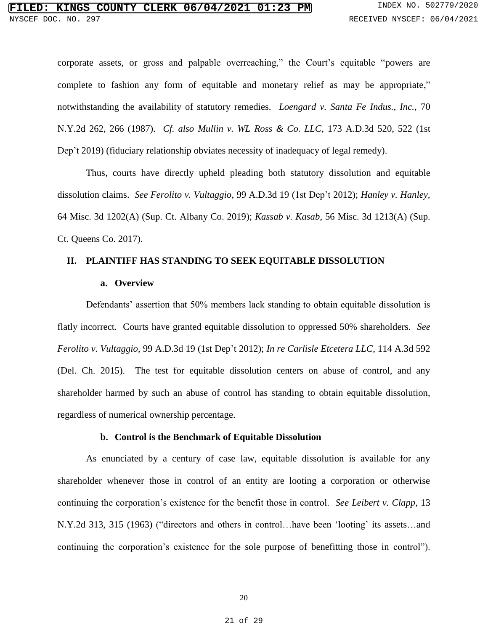corporate assets, or gross and palpable overreaching," the Court's equitable "powers are complete to fashion any form of equitable and monetary relief as may be appropriate," notwithstanding the availability of statutory remedies. *Loengard v. Santa Fe Indus., Inc.,* 70 N.Y.2d 262, 266 (1987). *Cf. also Mullin v. WL Ross & Co. LLC*, 173 A.D.3d 520, 522 (1st Dep't 2019) (fiduciary relationship obviates necessity of inadequacy of legal remedy).

Thus, courts have directly upheld pleading both statutory dissolution and equitable dissolution claims. *See Ferolito v. Vultaggio*, 99 A.D.3d 19 (1st Dep't 2012); *Hanley v. Hanley,* 64 Misc. 3d 1202(A) (Sup. Ct. Albany Co. 2019); *Kassab v. Kasab*, 56 Misc. 3d 1213(A) (Sup. Ct. Queens Co. 2017).

## **II. PLAINTIFF HAS STANDING TO SEEK EQUITABLE DISSOLUTION**

#### **a. Overview**

Defendants' assertion that 50% members lack standing to obtain equitable dissolution is flatly incorrect. Courts have granted equitable dissolution to oppressed 50% shareholders. *See Ferolito v. Vultaggio*, 99 A.D.3d 19 (1st Dep't 2012); *In re Carlisle Etcetera LLC*, 114 A.3d 592 (Del. Ch. 2015). The test for equitable dissolution centers on abuse of control, and any shareholder harmed by such an abuse of control has standing to obtain equitable dissolution, regardless of numerical ownership percentage.

## **b. Control is the Benchmark of Equitable Dissolution**

As enunciated by a century of case law, equitable dissolution is available for any shareholder whenever those in control of an entity are looting a corporation or otherwise continuing the corporation's existence for the benefit those in control. *See Leibert v. Clapp*, 13 N.Y.2d 313, 315 (1963) ("directors and others in control…have been 'looting' its assets…and continuing the corporation's existence for the sole purpose of benefitting those in control").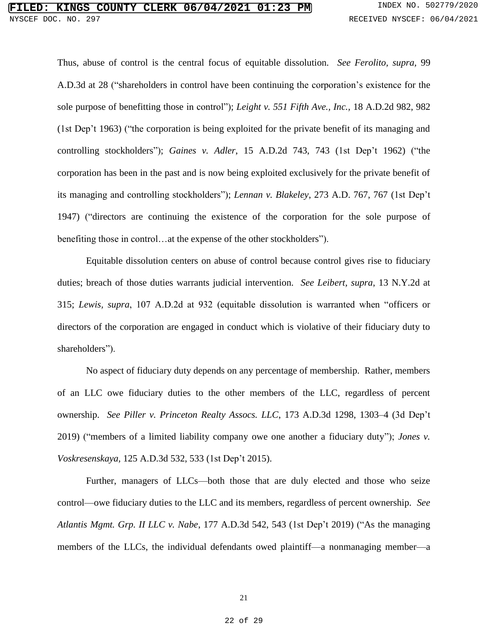Thus, abuse of control is the central focus of equitable dissolution. *See Ferolito, supra,* 99 A.D.3d at 28 ("shareholders in control have been continuing the corporation's existence for the sole purpose of benefitting those in control"); *Leight v. 551 Fifth Ave., Inc.,* 18 A.D.2d 982, 982 (1st Dep't 1963) ("the corporation is being exploited for the private benefit of its managing and controlling stockholders"); *Gaines v. Adler*, 15 A.D.2d 743, 743 (1st Dep't 1962) ("the corporation has been in the past and is now being exploited exclusively for the private benefit of its managing and controlling stockholders"); *Lennan v. Blakeley*, 273 A.D. 767, 767 (1st Dep't 1947) ("directors are continuing the existence of the corporation for the sole purpose of benefiting those in control…at the expense of the other stockholders").

Equitable dissolution centers on abuse of control because control gives rise to fiduciary duties; breach of those duties warrants judicial intervention. *See Leibert, supra*, 13 N.Y.2d at 315; *Lewis, supra*, 107 A.D.2d at 932 (equitable dissolution is warranted when "officers or directors of the corporation are engaged in conduct which is violative of their fiduciary duty to shareholders").

No aspect of fiduciary duty depends on any percentage of membership. Rather, members of an LLC owe fiduciary duties to the other members of the LLC, regardless of percent ownership. *See Piller v. Princeton Realty Assocs. LLC*, 173 A.D.3d 1298, 1303–4 (3d Dep't 2019) ("members of a limited liability company owe one another a fiduciary duty"); *Jones v. Voskresenskaya,* 125 A.D.3d 532, 533 (1st Dep't 2015).

Further, managers of LLCs—both those that are duly elected and those who seize control—owe fiduciary duties to the LLC and its members, regardless of percent ownership. *See Atlantis Mgmt. Grp. II LLC v. Nabe*, 177 A.D.3d 542, 543 (1st Dep't 2019) ("As the managing members of the LLCs, the individual defendants owed plaintiff—a nonmanaging member—a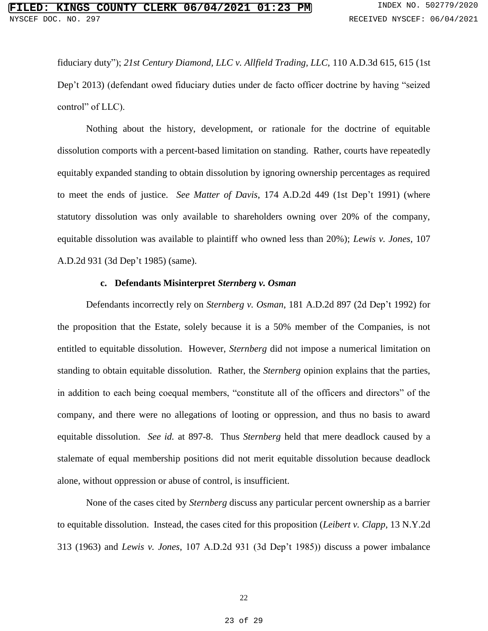fiduciary duty"); *21st Century Diamond, LLC v. Allfield Trading, LLC,* 110 A.D.3d 615, 615 (1st Dep't 2013) (defendant owed fiduciary duties under de facto officer doctrine by having "seized control" of LLC).

Nothing about the history, development, or rationale for the doctrine of equitable dissolution comports with a percent-based limitation on standing. Rather, courts have repeatedly equitably expanded standing to obtain dissolution by ignoring ownership percentages as required to meet the ends of justice. *See Matter of Davis*, 174 A.D.2d 449 (1st Dep't 1991) (where statutory dissolution was only available to shareholders owning over 20% of the company, equitable dissolution was available to plaintiff who owned less than 20%); *Lewis v. Jones*, 107 A.D.2d 931 (3d Dep't 1985) (same).

#### **c. Defendants Misinterpret** *Sternberg v. Osman*

Defendants incorrectly rely on *Sternberg v. Osman*, 181 A.D.2d 897 (2d Dep't 1992) for the proposition that the Estate, solely because it is a 50% member of the Companies, is not entitled to equitable dissolution. However, *Sternberg* did not impose a numerical limitation on standing to obtain equitable dissolution. Rather, the *Sternberg* opinion explains that the parties, in addition to each being coequal members, "constitute all of the officers and directors" of the company, and there were no allegations of looting or oppression, and thus no basis to award equitable dissolution. *See id.* at 897-8. Thus *Sternberg* held that mere deadlock caused by a stalemate of equal membership positions did not merit equitable dissolution because deadlock alone, without oppression or abuse of control, is insufficient.

None of the cases cited by *Sternberg* discuss any particular percent ownership as a barrier to equitable dissolution. Instead, the cases cited for this proposition (*Leibert v. Clapp*, 13 N.Y.2d 313 (1963) and *Lewis v. Jones*, 107 A.D.2d 931 (3d Dep't 1985)) discuss a power imbalance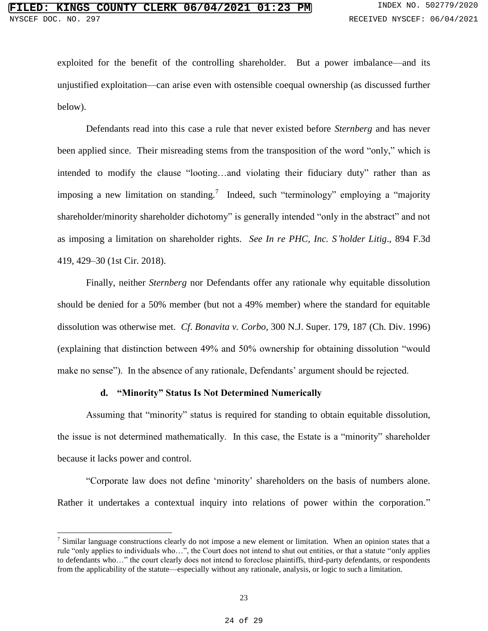exploited for the benefit of the controlling shareholder. But a power imbalance—and its unjustified exploitation—can arise even with ostensible coequal ownership (as discussed further below).

Defendants read into this case a rule that never existed before *Sternberg* and has never been applied since. Their misreading stems from the transposition of the word "only," which is intended to modify the clause "looting…and violating their fiduciary duty" rather than as imposing a new limitation on standing.<sup>7</sup> Indeed, such "terminology" employing a "majority shareholder/minority shareholder dichotomy" is generally intended "only in the abstract" and not as imposing a limitation on shareholder rights. *See In re PHC, Inc. S'holder Litig*., 894 F.3d 419, 429–30 (1st Cir. 2018).

Finally, neither *Sternberg* nor Defendants offer any rationale why equitable dissolution should be denied for a 50% member (but not a 49% member) where the standard for equitable dissolution was otherwise met. *Cf*. *Bonavita v. Corbo,* 300 N.J. Super. 179, 187 (Ch. Div. 1996) (explaining that distinction between 49% and 50% ownership for obtaining dissolution "would make no sense"). In the absence of any rationale, Defendants' argument should be rejected.

## **d. "Minority" Status Is Not Determined Numerically**

 $\overline{\phantom{a}}$ 

Assuming that "minority" status is required for standing to obtain equitable dissolution, the issue is not determined mathematically. In this case, the Estate is a "minority" shareholder because it lacks power and control.

"Corporate law does not define 'minority' shareholders on the basis of numbers alone. Rather it undertakes a contextual inquiry into relations of power within the corporation."

<sup>&</sup>lt;sup>7</sup> Similar language constructions clearly do not impose a new element or limitation. When an opinion states that a rule "only applies to individuals who…", the Court does not intend to shut out entities, or that a statute "only applies to defendants who…" the court clearly does not intend to foreclose plaintiffs, third-party defendants, or respondents from the applicability of the statute—especially without any rationale, analysis, or logic to such a limitation.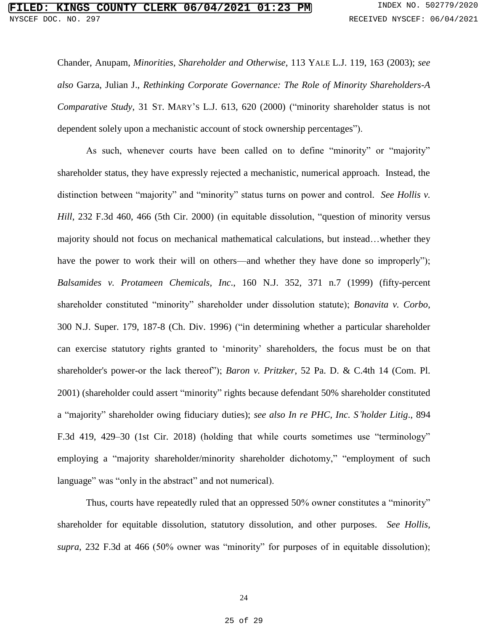Chander, Anupam, *Minorities, Shareholder and Otherwise*, 113 YALE L.J. 119, 163 (2003); *see also* Garza, Julian J., *Rethinking Corporate Governance: The Role of Minority Shareholders-A Comparative Study*, 31 ST. MARY'S L.J. 613, 620 (2000) ("minority shareholder status is not dependent solely upon a mechanistic account of stock ownership percentages").

As such, whenever courts have been called on to define "minority" or "majority" shareholder status, they have expressly rejected a mechanistic, numerical approach. Instead, the distinction between "majority" and "minority" status turns on power and control. *See Hollis v. Hill*, 232 F.3d 460, 466 (5th Cir. 2000) (in equitable dissolution, "question of minority versus majority should not focus on mechanical mathematical calculations, but instead…whether they have the power to work their will on others—and whether they have done so improperly"); *Balsamides v. Protameen Chemicals, Inc*., 160 N.J. 352, 371 n.7 (1999) (fifty-percent shareholder constituted "minority" shareholder under dissolution statute); *Bonavita v. Corbo*, 300 N.J. Super. 179, 187-8 (Ch. Div. 1996) ("in determining whether a particular shareholder can exercise statutory rights granted to 'minority' shareholders, the focus must be on that shareholder's power-or the lack thereof"); *Baron v. Pritzker*, 52 Pa. D. & C.4th 14 (Com. Pl. 2001) (shareholder could assert "minority" rights because defendant 50% shareholder constituted a "majority" shareholder owing fiduciary duties); *see also In re PHC, Inc. S'holder Litig*., 894 F.3d 419, 429–30 (1st Cir. 2018) (holding that while courts sometimes use "terminology" employing a "majority shareholder/minority shareholder dichotomy," "employment of such language" was "only in the abstract" and not numerical).

Thus, courts have repeatedly ruled that an oppressed 50% owner constitutes a "minority" shareholder for equitable dissolution, statutory dissolution, and other purposes. *See Hollis, supra*, 232 F.3d at 466 (50% owner was "minority" for purposes of in equitable dissolution);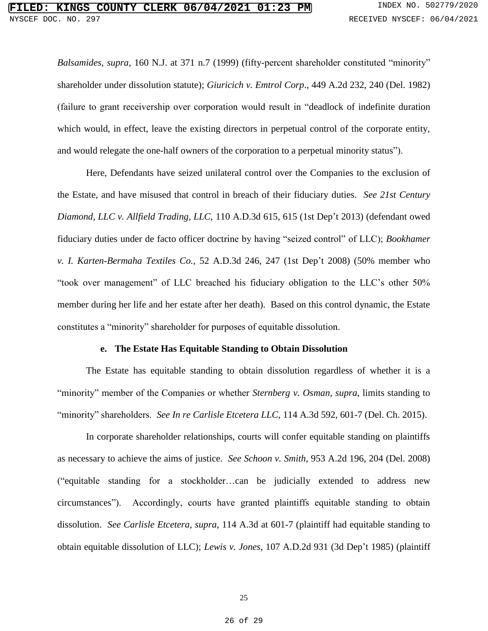*Balsamides, supra*, 160 N.J. at 371 n.7 (1999) (fifty-percent shareholder constituted "minority" shareholder under dissolution statute); *Giuricich v. Emtrol Corp*., 449 A.2d 232, 240 (Del. 1982) (failure to grant receivership over corporation would result in "deadlock of indefinite duration which would, in effect, leave the existing directors in perpetual control of the corporate entity, and would relegate the one-half owners of the corporation to a perpetual minority status").

Here, Defendants have seized unilateral control over the Companies to the exclusion of the Estate, and have misused that control in breach of their fiduciary duties. *See 21st Century Diamond, LLC v. Allfield Trading, LLC,* 110 A.D.3d 615, 615 (1st Dep't 2013) (defendant owed fiduciary duties under de facto officer doctrine by having "seized control" of LLC); *Bookhamer v. I. Karten-Bermaha Textiles Co.*, 52 A.D.3d 246, 247 (1st Dep't 2008) (50% member who "took over management" of LLC breached his fiduciary obligation to the LLC's other 50% member during her life and her estate after her death). Based on this control dynamic, the Estate constitutes a "minority" shareholder for purposes of equitable dissolution.

## **e. The Estate Has Equitable Standing to Obtain Dissolution**

The Estate has equitable standing to obtain dissolution regardless of whether it is a "minority" member of the Companies or whether *Sternberg v. Osman*, *supra*, limits standing to "minority" shareholders. *See In re Carlisle Etcetera LLC*, 114 A.3d 592, 601-7 (Del. Ch. 2015).

In corporate shareholder relationships, courts will confer equitable standing on plaintiffs as necessary to achieve the aims of justice. *See Schoon v. Smith*, 953 A.2d 196, 204 (Del. 2008) ("equitable standing for a stockholder…can be judicially extended to address new circumstances"). Accordingly, courts have granted plaintiffs equitable standing to obtain dissolution. *See Carlisle Etcetera, supra*, 114 A.3d at 601-7 (plaintiff had equitable standing to obtain equitable dissolution of LLC); *Lewis v. Jones*, 107 A.D.2d 931 (3d Dep't 1985) (plaintiff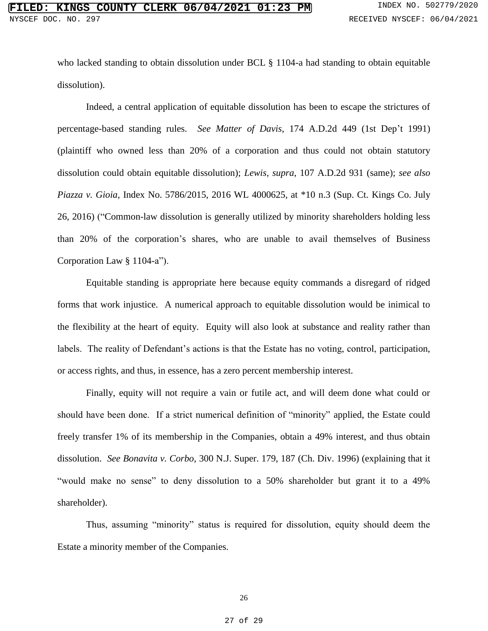who lacked standing to obtain dissolution under BCL § 1104-a had standing to obtain equitable dissolution).

Indeed, a central application of equitable dissolution has been to escape the strictures of percentage-based standing rules. *See Matter of Davis*, 174 A.D.2d 449 (1st Dep't 1991) (plaintiff who owned less than 20% of a corporation and thus could not obtain statutory dissolution could obtain equitable dissolution); *Lewis, supra*, 107 A.D.2d 931 (same); *see also Piazza v. Gioia*, Index No. 5786/2015, 2016 WL 4000625, at \*10 n.3 (Sup. Ct. Kings Co. July 26, 2016) ("Common-law dissolution is generally utilized by minority shareholders holding less than 20% of the corporation's shares, who are unable to avail themselves of Business Corporation Law § 1104-a").

Equitable standing is appropriate here because equity commands a disregard of ridged forms that work injustice. A numerical approach to equitable dissolution would be inimical to the flexibility at the heart of equity. Equity will also look at substance and reality rather than labels. The reality of Defendant's actions is that the Estate has no voting, control, participation, or access rights, and thus, in essence, has a zero percent membership interest.

Finally, equity will not require a vain or futile act, and will deem done what could or should have been done. If a strict numerical definition of "minority" applied, the Estate could freely transfer 1% of its membership in the Companies, obtain a 49% interest, and thus obtain dissolution. *See Bonavita v. Corbo,* 300 N.J. Super. 179, 187 (Ch. Div. 1996) (explaining that it "would make no sense" to deny dissolution to a 50% shareholder but grant it to a 49% shareholder).

Thus, assuming "minority" status is required for dissolution, equity should deem the Estate a minority member of the Companies.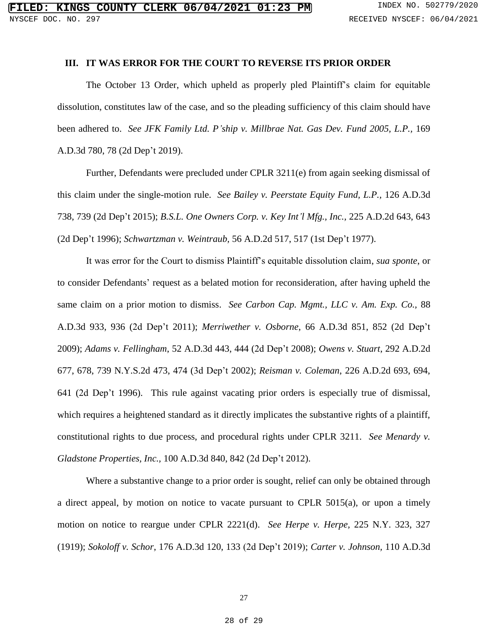## **III. IT WAS ERROR FOR THE COURT TO REVERSE ITS PRIOR ORDER**

The October 13 Order, which upheld as properly pled Plaintiff's claim for equitable dissolution, constitutes law of the case, and so the pleading sufficiency of this claim should have been adhered to. *See JFK Family Ltd. P'ship v. Millbrae Nat. Gas Dev. Fund 2005, L.P.,* 169 A.D.3d 780, 78 (2d Dep't 2019).

Further, Defendants were precluded under CPLR 3211(e) from again seeking dismissal of this claim under the single-motion rule. *See Bailey v. Peerstate Equity Fund, L.P.,* 126 A.D.3d 738, 739 (2d Dep't 2015); *B.S.L. One Owners Corp. v. Key Int'l Mfg., Inc.,* 225 A.D.2d 643, 643 (2d Dep't 1996); *Schwartzman v. Weintraub,* 56 A.D.2d 517, 517 (1st Dep't 1977).

It was error for the Court to dismiss Plaintiff's equitable dissolution claim, *sua sponte*, or to consider Defendants' request as a belated motion for reconsideration, after having upheld the same claim on a prior motion to dismiss. *See Carbon Cap. Mgmt., LLC v. Am. Exp. Co.,* 88 A.D.3d 933, 936 (2d Dep't 2011); *Merriwether v. Osborne*, 66 A.D.3d 851, 852 (2d Dep't 2009); *Adams v. Fellingham*, 52 A.D.3d 443, 444 (2d Dep't 2008); *Owens v. Stuart*, 292 A.D.2d 677, 678, 739 N.Y.S.2d 473, 474 (3d Dep't 2002); *Reisman v. Coleman*, 226 A.D.2d 693, 694, 641 (2d Dep't 1996). This rule against vacating prior orders is especially true of dismissal, which requires a heightened standard as it directly implicates the substantive rights of a plaintiff, constitutional rights to due process, and procedural rights under CPLR 3211. *See Menardy v. Gladstone Properties, Inc.,* 100 A.D.3d 840, 842 (2d Dep't 2012).

Where a substantive change to a prior order is sought, relief can only be obtained through a direct appeal, by motion on notice to vacate pursuant to CPLR 5015(a), or upon a timely motion on notice to reargue under CPLR 2221(d). *See Herpe v. Herpe,* 225 N.Y. 323, 327 (1919); *Sokoloff v. Schor*, 176 A.D.3d 120, 133 (2d Dep't 2019); *Carter v. Johnson,* 110 A.D.3d